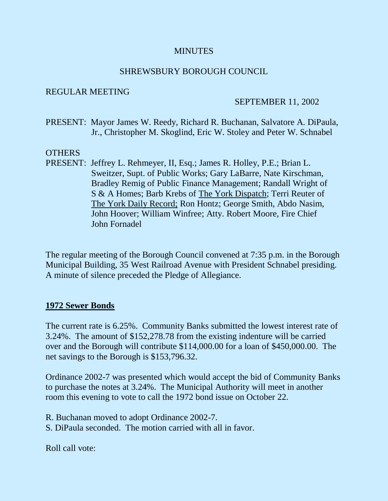### **MINUTES**

#### SHREWSBURY BOROUGH COUNCIL

#### REGULAR MEETING

#### SEPTEMBER 11, 2002

PRESENT: Mayor James W. Reedy, Richard R. Buchanan, Salvatore A. DiPaula, Jr., Christopher M. Skoglind, Eric W. Stoley and Peter W. Schnabel

#### OTHERS

PRESENT: Jeffrey L. Rehmeyer, II, Esq.; James R. Holley, P.E.; Brian L. Sweitzer, Supt. of Public Works; Gary LaBarre, Nate Kirschman, Bradley Remig of Public Finance Management; Randall Wright of S & A Homes; Barb Krebs of The York Dispatch; Terri Reuter of The York Daily Record; Ron Hontz; George Smith, Abdo Nasim, John Hoover; William Winfree; Atty. Robert Moore, Fire Chief John Fornadel

The regular meeting of the Borough Council convened at 7:35 p.m. in the Borough Municipal Building, 35 West Railroad Avenue with President Schnabel presiding. A minute of silence preceded the Pledge of Allegiance.

## **1972 Sewer Bonds**

The current rate is 6.25%. Community Banks submitted the lowest interest rate of 3.24%. The amount of \$152,278.78 from the existing indenture will be carried over and the Borough will contribute \$114,000.00 for a loan of \$450,000.00. The net savings to the Borough is \$153,796.32.

Ordinance 2002-7 was presented which would accept the bid of Community Banks to purchase the notes at 3.24%. The Municipal Authority will meet in another room this evening to vote to call the 1972 bond issue on October 22.

R. Buchanan moved to adopt Ordinance 2002-7.

S. DiPaula seconded. The motion carried with all in favor.

Roll call vote: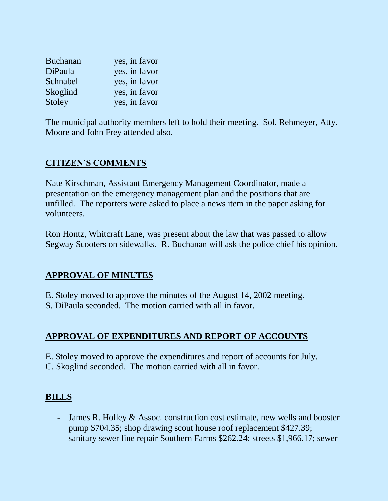| <b>Buchanan</b> | yes, in favor |
|-----------------|---------------|
| DiPaula         | yes, in favor |
| Schnabel        | yes, in favor |
| Skoglind        | yes, in favor |
| Stoley          | yes, in favor |

The municipal authority members left to hold their meeting. Sol. Rehmeyer, Atty. Moore and John Frey attended also.

# **CITIZEN'S COMMENTS**

Nate Kirschman, Assistant Emergency Management Coordinator, made a presentation on the emergency management plan and the positions that are unfilled. The reporters were asked to place a news item in the paper asking for volunteers.

Ron Hontz, Whitcraft Lane, was present about the law that was passed to allow Segway Scooters on sidewalks. R. Buchanan will ask the police chief his opinion.

## **APPROVAL OF MINUTES**

E. Stoley moved to approve the minutes of the August 14, 2002 meeting.

S. DiPaula seconded. The motion carried with all in favor.

# **APPROVAL OF EXPENDITURES AND REPORT OF ACCOUNTS**

E. Stoley moved to approve the expenditures and report of accounts for July. C. Skoglind seconded. The motion carried with all in favor.

# **BILLS**

- James R. Holley & Assoc. construction cost estimate, new wells and booster pump \$704.35; shop drawing scout house roof replacement \$427.39; sanitary sewer line repair Southern Farms \$262.24; streets \$1,966.17; sewer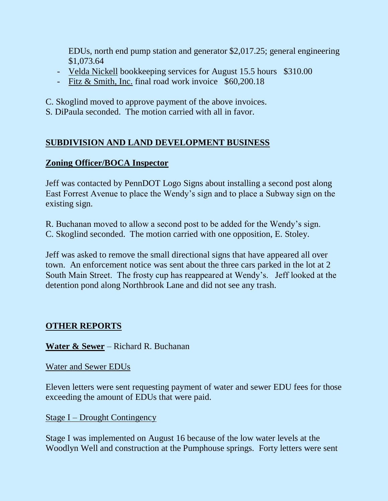EDUs, north end pump station and generator \$2,017.25; general engineering \$1,073.64

- Velda Nickell bookkeeping services for August 15.5 hours \$310.00
- Fitz & Smith, Inc. final road work invoice \$60,200.18
- C. Skoglind moved to approve payment of the above invoices.
- S. DiPaula seconded. The motion carried with all in favor.

# **SUBDIVISION AND LAND DEVELOPMENT BUSINESS**

# **Zoning Officer/BOCA Inspector**

Jeff was contacted by PennDOT Logo Signs about installing a second post along East Forrest Avenue to place the Wendy's sign and to place a Subway sign on the existing sign.

R. Buchanan moved to allow a second post to be added for the Wendy's sign. C. Skoglind seconded. The motion carried with one opposition, E. Stoley.

Jeff was asked to remove the small directional signs that have appeared all over town. An enforcement notice was sent about the three cars parked in the lot at 2 South Main Street. The frosty cup has reappeared at Wendy's. Jeff looked at the detention pond along Northbrook Lane and did not see any trash.

# **OTHER REPORTS**

**Water & Sewer** – Richard R. Buchanan

Water and Sewer EDUs

Eleven letters were sent requesting payment of water and sewer EDU fees for those exceeding the amount of EDUs that were paid.

Stage I – Drought Contingency

Stage I was implemented on August 16 because of the low water levels at the Woodlyn Well and construction at the Pumphouse springs. Forty letters were sent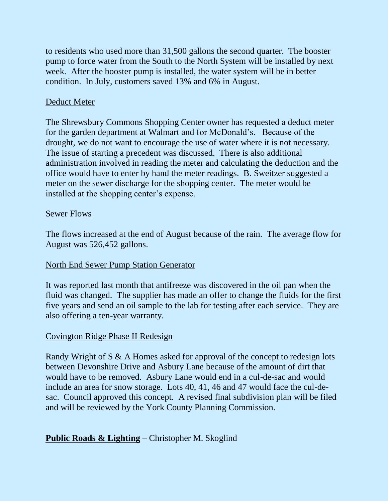to residents who used more than 31,500 gallons the second quarter. The booster pump to force water from the South to the North System will be installed by next week. After the booster pump is installed, the water system will be in better condition. In July, customers saved 13% and 6% in August.

# Deduct Meter

The Shrewsbury Commons Shopping Center owner has requested a deduct meter for the garden department at Walmart and for McDonald's. Because of the drought, we do not want to encourage the use of water where it is not necessary. The issue of starting a precedent was discussed. There is also additional administration involved in reading the meter and calculating the deduction and the office would have to enter by hand the meter readings. B. Sweitzer suggested a meter on the sewer discharge for the shopping center. The meter would be installed at the shopping center's expense.

# Sewer Flows

The flows increased at the end of August because of the rain. The average flow for August was 526,452 gallons.

## North End Sewer Pump Station Generator

It was reported last month that antifreeze was discovered in the oil pan when the fluid was changed. The supplier has made an offer to change the fluids for the first five years and send an oil sample to the lab for testing after each service. They are also offering a ten-year warranty.

## Covington Ridge Phase II Redesign

Randy Wright of S & A Homes asked for approval of the concept to redesign lots between Devonshire Drive and Asbury Lane because of the amount of dirt that would have to be removed. Asbury Lane would end in a cul-de-sac and would include an area for snow storage. Lots 40, 41, 46 and 47 would face the cul-desac. Council approved this concept. A revised final subdivision plan will be filed and will be reviewed by the York County Planning Commission.

# **Public Roads & Lighting** – Christopher M. Skoglind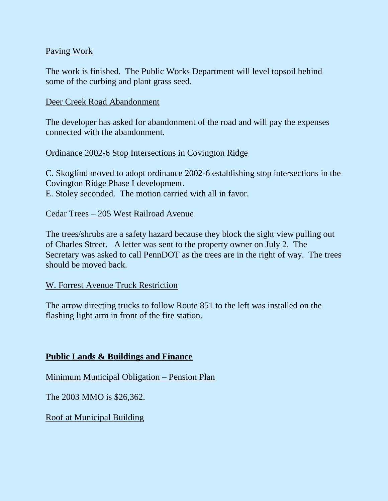# Paving Work

The work is finished. The Public Works Department will level topsoil behind some of the curbing and plant grass seed.

#### Deer Creek Road Abandonment

The developer has asked for abandonment of the road and will pay the expenses connected with the abandonment.

## Ordinance 2002-6 Stop Intersections in Covington Ridge

C. Skoglind moved to adopt ordinance 2002-6 establishing stop intersections in the Covington Ridge Phase I development.

E. Stoley seconded. The motion carried with all in favor.

#### Cedar Trees – 205 West Railroad Avenue

The trees/shrubs are a safety hazard because they block the sight view pulling out of Charles Street. A letter was sent to the property owner on July 2. The Secretary was asked to call PennDOT as the trees are in the right of way. The trees should be moved back.

#### W. Forrest Avenue Truck Restriction

The arrow directing trucks to follow Route 851 to the left was installed on the flashing light arm in front of the fire station.

#### **Public Lands & Buildings and Finance**

Minimum Municipal Obligation – Pension Plan

The 2003 MMO is \$26,362.

Roof at Municipal Building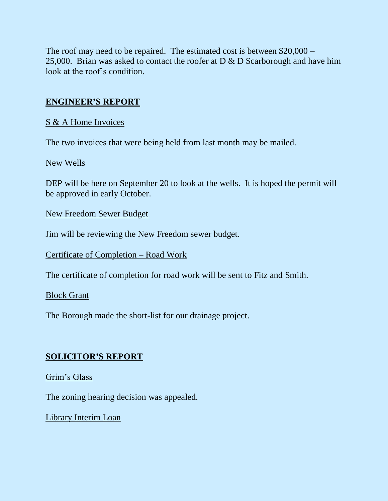The roof may need to be repaired. The estimated cost is between \$20,000 – 25,000. Brian was asked to contact the roofer at  $D & D$  Scarborough and have him look at the roof's condition.

# **ENGINEER'S REPORT**

# S & A Home Invoices

The two invoices that were being held from last month may be mailed.

# New Wells

DEP will be here on September 20 to look at the wells. It is hoped the permit will be approved in early October.

New Freedom Sewer Budget

Jim will be reviewing the New Freedom sewer budget.

Certificate of Completion – Road Work

The certificate of completion for road work will be sent to Fitz and Smith.

## Block Grant

The Borough made the short-list for our drainage project.

# **SOLICITOR'S REPORT**

## Grim's Glass

The zoning hearing decision was appealed.

Library Interim Loan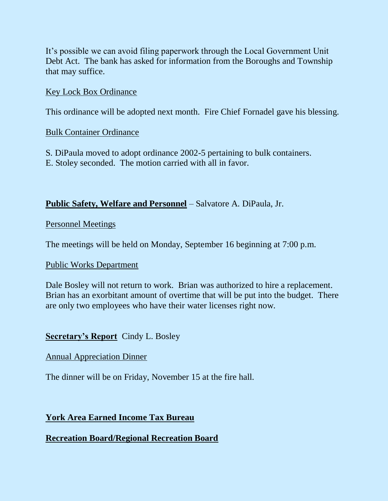It's possible we can avoid filing paperwork through the Local Government Unit Debt Act. The bank has asked for information from the Boroughs and Township that may suffice.

## Key Lock Box Ordinance

This ordinance will be adopted next month. Fire Chief Fornadel gave his blessing.

## Bulk Container Ordinance

S. DiPaula moved to adopt ordinance 2002-5 pertaining to bulk containers. E. Stoley seconded. The motion carried with all in favor.

# **Public Safety, Welfare and Personnel** – Salvatore A. DiPaula, Jr.

## Personnel Meetings

The meetings will be held on Monday, September 16 beginning at 7:00 p.m.

## Public Works Department

Dale Bosley will not return to work. Brian was authorized to hire a replacement. Brian has an exorbitant amount of overtime that will be put into the budget. There are only two employees who have their water licenses right now.

# **Secretary's Report** Cindy L. Bosley

## Annual Appreciation Dinner

The dinner will be on Friday, November 15 at the fire hall.

# **York Area Earned Income Tax Bureau**

# **Recreation Board/Regional Recreation Board**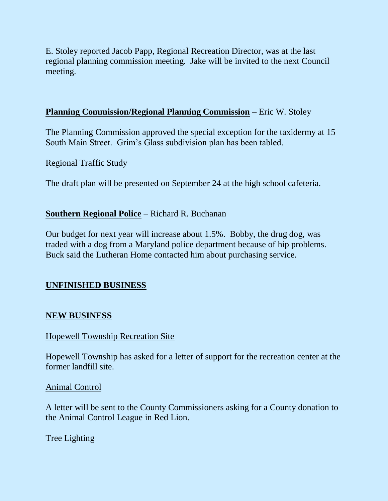E. Stoley reported Jacob Papp, Regional Recreation Director, was at the last regional planning commission meeting. Jake will be invited to the next Council meeting.

#### **Planning Commission/Regional Planning Commission** – Eric W. Stoley

The Planning Commission approved the special exception for the taxidermy at 15 South Main Street. Grim's Glass subdivision plan has been tabled.

Regional Traffic Study

The draft plan will be presented on September 24 at the high school cafeteria.

#### **Southern Regional Police** – Richard R. Buchanan

Our budget for next year will increase about 1.5%. Bobby, the drug dog, was traded with a dog from a Maryland police department because of hip problems. Buck said the Lutheran Home contacted him about purchasing service.

## **UNFINISHED BUSINESS**

#### **NEW BUSINESS**

#### Hopewell Township Recreation Site

Hopewell Township has asked for a letter of support for the recreation center at the former landfill site.

#### Animal Control

A letter will be sent to the County Commissioners asking for a County donation to the Animal Control League in Red Lion.

## Tree Lighting